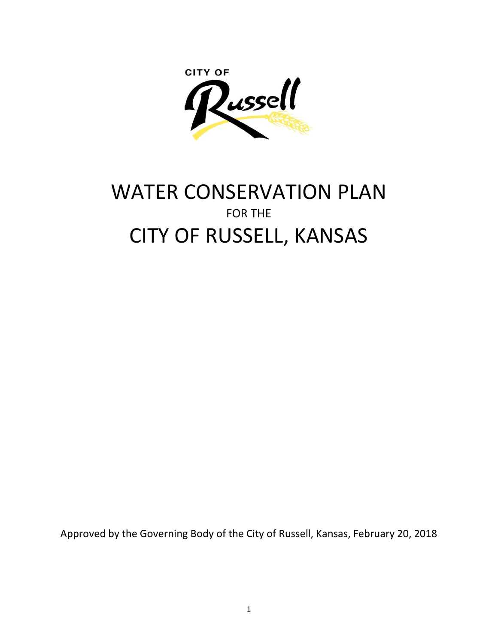**CITY OF** Zussell

# WATER CONSERVATION PLAN FOR THE CITY OF RUSSELL, KANSAS

Approved by the Governing Body of the City of Russell, Kansas, February 20, 2018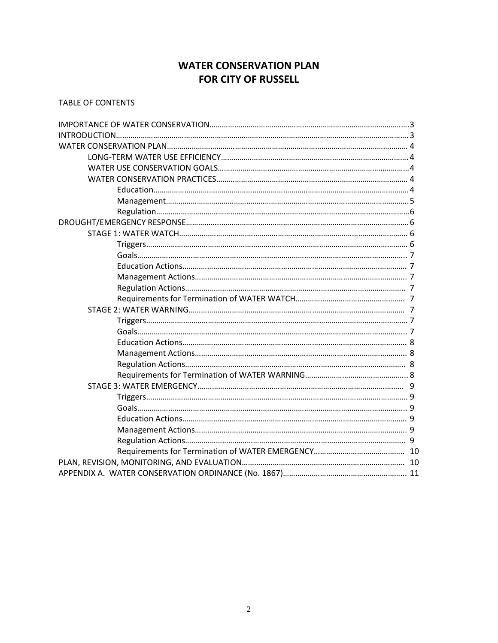# **WATER CONSERVATION PLAN FOR CITY OF RUSSELL**

TABLE OF CONTENTS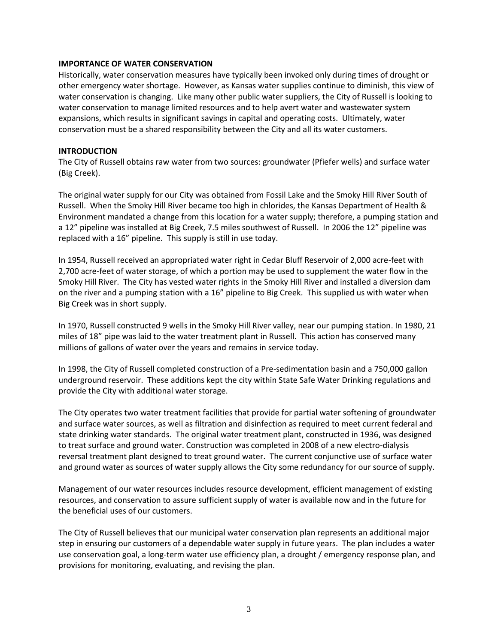#### **IMPORTANCE OF WATER CONSERVATION**

Historically, water conservation measures have typically been invoked only during times of drought or other emergency water shortage. However, as Kansas water supplies continue to diminish, this view of water conservation is changing. Like many other public water suppliers, the City of Russell is looking to water conservation to manage limited resources and to help avert water and wastewater system expansions, which results in significant savings in capital and operating costs. Ultimately, water conservation must be a shared responsibility between the City and all its water customers.

#### **INTRODUCTION**

The City of Russell obtains raw water from two sources: groundwater (Pfiefer wells) and surface water (Big Creek).

The original water supply for our City was obtained from Fossil Lake and the Smoky Hill River South of Russell. When the Smoky Hill River became too high in chlorides, the Kansas Department of Health & Environment mandated a change from this location for a water supply; therefore, a pumping station and a 12" pipeline was installed at Big Creek, 7.5 miles southwest of Russell. In 2006 the 12" pipeline was replaced with a 16" pipeline. This supply is still in use today.

In 1954, Russell received an appropriated water right in Cedar Bluff Reservoir of 2,000 acre-feet with 2,700 acre-feet of water storage, of which a portion may be used to supplement the water flow in the Smoky Hill River. The City has vested water rights in the Smoky Hill River and installed a diversion dam on the river and a pumping station with a 16" pipeline to Big Creek. This supplied us with water when Big Creek was in short supply.

In 1970, Russell constructed 9 wells in the Smoky Hill River valley, near our pumping station. In 1980, 21 miles of 18" pipe was laid to the water treatment plant in Russell. This action has conserved many millions of gallons of water over the years and remains in service today.

In 1998, the City of Russell completed construction of a Pre-sedimentation basin and a 750,000 gallon underground reservoir. These additions kept the city within State Safe Water Drinking regulations and provide the City with additional water storage.

The City operates two water treatment facilities that provide for partial water softening of groundwater and surface water sources, as well as filtration and disinfection as required to meet current federal and state drinking water standards. The original water treatment plant, constructed in 1936, was designed to treat surface and ground water. Construction was completed in 2008 of a new electro-dialysis reversal treatment plant designed to treat ground water. The current conjunctive use of surface water and ground water as sources of water supply allows the City some redundancy for our source of supply.

Management of our water resources includes resource development, efficient management of existing resources, and conservation to assure sufficient supply of water is available now and in the future for the beneficial uses of our customers.

The City of Russell believes that our municipal water conservation plan represents an additional major step in ensuring our customers of a dependable water supply in future years. The plan includes a water use conservation goal, a long-term water use efficiency plan, a drought / emergency response plan, and provisions for monitoring, evaluating, and revising the plan.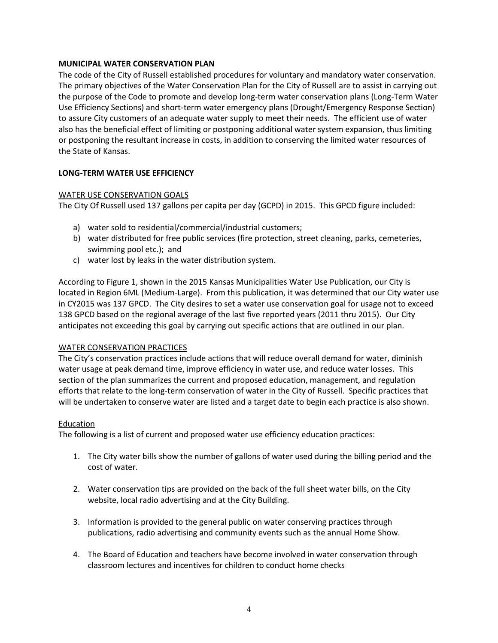# **MUNICIPAL WATER CONSERVATION PLAN**

The code of the City of Russell established procedures for voluntary and mandatory water conservation. The primary objectives of the Water Conservation Plan for the City of Russell are to assist in carrying out the purpose of the Code to promote and develop long-term water conservation plans (Long-Term Water Use Efficiency Sections) and short-term water emergency plans (Drought/Emergency Response Section) to assure City customers of an adequate water supply to meet their needs. The efficient use of water also has the beneficial effect of limiting or postponing additional water system expansion, thus limiting or postponing the resultant increase in costs, in addition to conserving the limited water resources of the State of Kansas.

# **LONG-TERM WATER USE EFFICIENCY**

# WATER USE CONSERVATION GOALS

The City Of Russell used 137 gallons per capita per day (GCPD) in 2015. This GPCD figure included:

- a) water sold to residential/commercial/industrial customers;
- b) water distributed for free public services (fire protection, street cleaning, parks, cemeteries, swimming pool etc.); and
- c) water lost by leaks in the water distribution system.

According to Figure 1, shown in the 2015 Kansas Municipalities Water Use Publication, our City is located in Region 6ML (Medium-Large). From this publication, it was determined that our City water use in CY2015 was 137 GPCD. The City desires to set a water use conservation goal for usage not to exceed 138 GPCD based on the regional average of the last five reported years (2011 thru 2015). Our City anticipates not exceeding this goal by carrying out specific actions that are outlined in our plan.

# WATER CONSERVATION PRACTICES

The City's conservation practices include actions that will reduce overall demand for water, diminish water usage at peak demand time, improve efficiency in water use, and reduce water losses. This section of the plan summarizes the current and proposed education, management, and regulation efforts that relate to the long-term conservation of water in the City of Russell. Specific practices that will be undertaken to conserve water are listed and a target date to begin each practice is also shown.

# Education

The following is a list of current and proposed water use efficiency education practices:

- 1. The City water bills show the number of gallons of water used during the billing period and the cost of water.
- 2. Water conservation tips are provided on the back of the full sheet water bills, on the City website, local radio advertising and at the City Building.
- 3. Information is provided to the general public on water conserving practices through publications, radio advertising and community events such as the annual Home Show.
- 4. The Board of Education and teachers have become involved in water conservation through classroom lectures and incentives for children to conduct home checks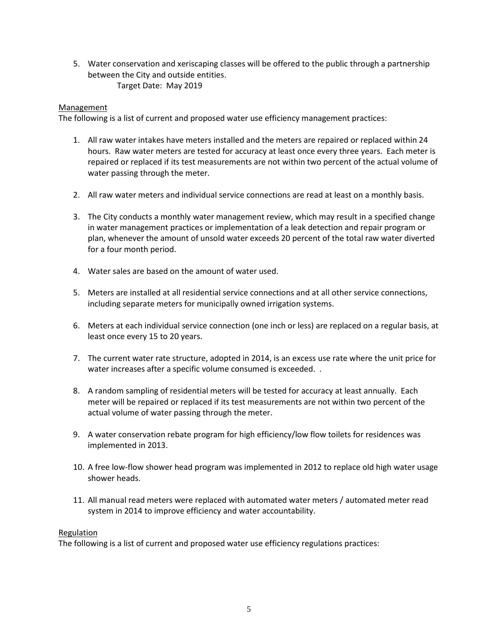5. Water conservation and xeriscaping classes will be offered to the public through a partnership between the City and outside entities. Target Date: May 2019

#### **Management**

The following is a list of current and proposed water use efficiency management practices:

- 1. All raw water intakes have meters installed and the meters are repaired or replaced within 24 hours. Raw water meters are tested for accuracy at least once every three years. Each meter is repaired or replaced if its test measurements are not within two percent of the actual volume of water passing through the meter.
- 2. All raw water meters and individual service connections are read at least on a monthly basis.
- 3. The City conducts a monthly water management review, which may result in a specified change in water management practices or implementation of a leak detection and repair program or plan, whenever the amount of unsold water exceeds 20 percent of the total raw water diverted for a four month period.
- 4. Water sales are based on the amount of water used.
- 5. Meters are installed at all residential service connections and at all other service connections, including separate meters for municipally owned irrigation systems.
- 6. Meters at each individual service connection (one inch or less) are replaced on a regular basis, at least once every 15 to 20 years.
- 7. The current water rate structure, adopted in 2014, is an excess use rate where the unit price for water increases after a specific volume consumed is exceeded. .
- 8. A random sampling of residential meters will be tested for accuracy at least annually. Each meter will be repaired or replaced if its test measurements are not within two percent of the actual volume of water passing through the meter.
- 9. A water conservation rebate program for high efficiency/low flow toilets for residences was implemented in 2013.
- 10. A free low-flow shower head program was implemented in 2012 to replace old high water usage shower heads.
- 11. All manual read meters were replaced with automated water meters / automated meter read system in 2014 to improve efficiency and water accountability.

#### Regulation

The following is a list of current and proposed water use efficiency regulations practices: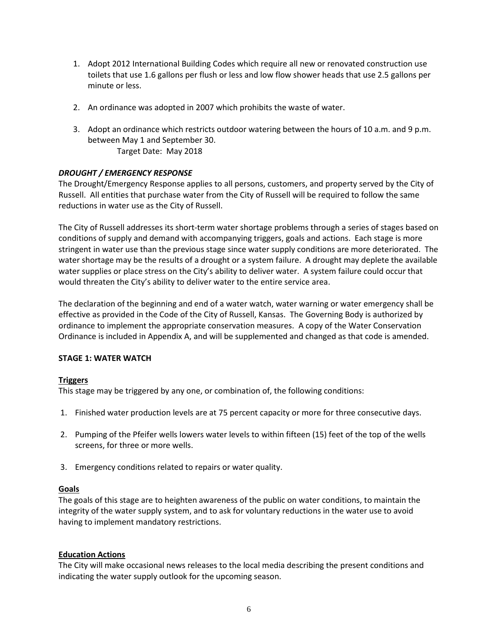- 1. Adopt 2012 International Building Codes which require all new or renovated construction use toilets that use 1.6 gallons per flush or less and low flow shower heads that use 2.5 gallons per minute or less.
- 2. An ordinance was adopted in 2007 which prohibits the waste of water.
- 3. Adopt an ordinance which restricts outdoor watering between the hours of 10 a.m. and 9 p.m. between May 1 and September 30. Target Date: May 2018

# *DROUGHT / EMERGENCY RESPONSE*

The Drought/Emergency Response applies to all persons, customers, and property served by the City of Russell. All entities that purchase water from the City of Russell will be required to follow the same reductions in water use as the City of Russell.

The City of Russell addresses its short-term water shortage problems through a series of stages based on conditions of supply and demand with accompanying triggers, goals and actions. Each stage is more stringent in water use than the previous stage since water supply conditions are more deteriorated. The water shortage may be the results of a drought or a system failure. A drought may deplete the available water supplies or place stress on the City's ability to deliver water. A system failure could occur that would threaten the City's ability to deliver water to the entire service area.

The declaration of the beginning and end of a water watch, water warning or water emergency shall be effective as provided in the Code of the City of Russell, Kansas. The Governing Body is authorized by ordinance to implement the appropriate conservation measures. A copy of the Water Conservation Ordinance is included in Appendix A, and will be supplemented and changed as that code is amended.

# **STAGE 1: WATER WATCH**

# **Triggers**

This stage may be triggered by any one, or combination of, the following conditions:

- 1. Finished water production levels are at 75 percent capacity or more for three consecutive days.
- 2. Pumping of the Pfeifer wells lowers water levels to within fifteen (15) feet of the top of the wells screens, for three or more wells.
- 3. Emergency conditions related to repairs or water quality.

# **Goals**

The goals of this stage are to heighten awareness of the public on water conditions, to maintain the integrity of the water supply system, and to ask for voluntary reductions in the water use to avoid having to implement mandatory restrictions.

# **Education Actions**

The City will make occasional news releases to the local media describing the present conditions and indicating the water supply outlook for the upcoming season.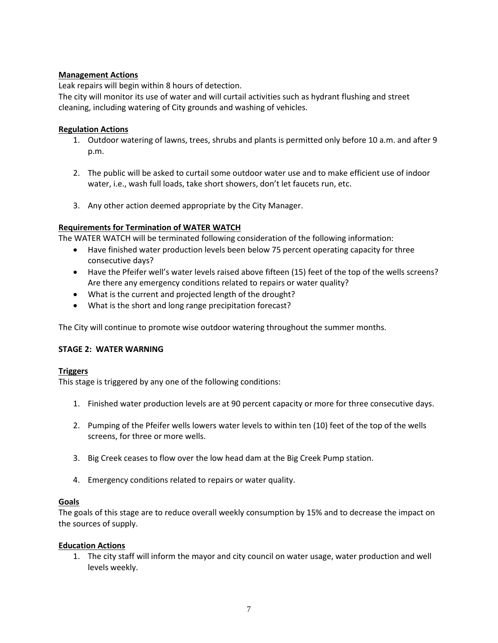# **Management Actions**

Leak repairs will begin within 8 hours of detection.

The city will monitor its use of water and will curtail activities such as hydrant flushing and street cleaning, including watering of City grounds and washing of vehicles.

# **Regulation Actions**

- 1. Outdoor watering of lawns, trees, shrubs and plants is permitted only before 10 a.m. and after 9 p.m.
- 2. The public will be asked to curtail some outdoor water use and to make efficient use of indoor water, i.e., wash full loads, take short showers, don't let faucets run, etc.
- 3. Any other action deemed appropriate by the City Manager.

# **Requirements for Termination of WATER WATCH**

The WATER WATCH will be terminated following consideration of the following information:

- Have finished water production levels been below 75 percent operating capacity for three consecutive days?
- Have the Pfeifer well's water levels raised above fifteen (15) feet of the top of the wells screens? Are there any emergency conditions related to repairs or water quality?
- What is the current and projected length of the drought?
- What is the short and long range precipitation forecast?

The City will continue to promote wise outdoor watering throughout the summer months.

# **STAGE 2: WATER WARNING**

# **Triggers**

This stage is triggered by any one of the following conditions:

- 1. Finished water production levels are at 90 percent capacity or more for three consecutive days.
- 2. Pumping of the Pfeifer wells lowers water levels to within ten (10) feet of the top of the wells screens, for three or more wells.
- 3. Big Creek ceases to flow over the low head dam at the Big Creek Pump station.
- 4. Emergency conditions related to repairs or water quality.

# **Goals**

The goals of this stage are to reduce overall weekly consumption by 15% and to decrease the impact on the sources of supply.

# **Education Actions**

1. The city staff will inform the mayor and city council on water usage, water production and well levels weekly.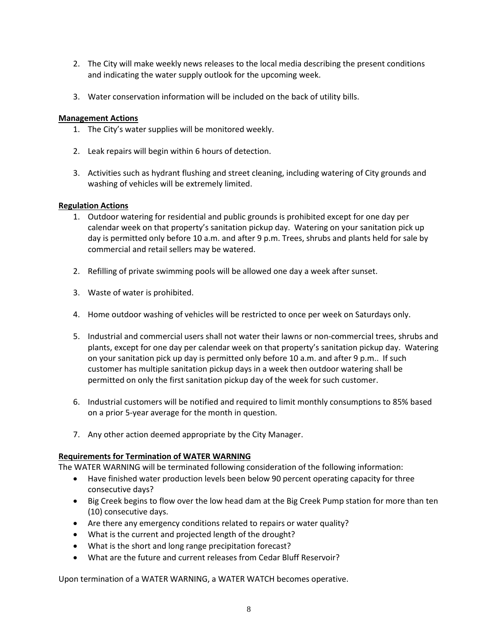- 2. The City will make weekly news releases to the local media describing the present conditions and indicating the water supply outlook for the upcoming week.
- 3. Water conservation information will be included on the back of utility bills.

# **Management Actions**

- 1. The City's water supplies will be monitored weekly.
- 2. Leak repairs will begin within 6 hours of detection.
- 3. Activities such as hydrant flushing and street cleaning, including watering of City grounds and washing of vehicles will be extremely limited.

# **Regulation Actions**

- 1. Outdoor watering for residential and public grounds is prohibited except for one day per calendar week on that property's sanitation pickup day. Watering on your sanitation pick up day is permitted only before 10 a.m. and after 9 p.m. Trees, shrubs and plants held for sale by commercial and retail sellers may be watered.
- 2. Refilling of private swimming pools will be allowed one day a week after sunset.
- 3. Waste of water is prohibited.
- 4. Home outdoor washing of vehicles will be restricted to once per week on Saturdays only.
- 5. Industrial and commercial users shall not water their lawns or non-commercial trees, shrubs and plants, except for one day per calendar week on that property's sanitation pickup day. Watering on your sanitation pick up day is permitted only before 10 a.m. and after 9 p.m.. If such customer has multiple sanitation pickup days in a week then outdoor watering shall be permitted on only the first sanitation pickup day of the week for such customer.
- 6. Industrial customers will be notified and required to limit monthly consumptions to 85% based on a prior 5-year average for the month in question.
- 7. Any other action deemed appropriate by the City Manager.

# **Requirements for Termination of WATER WARNING**

The WATER WARNING will be terminated following consideration of the following information:

- Have finished water production levels been below 90 percent operating capacity for three consecutive days?
- Big Creek begins to flow over the low head dam at the Big Creek Pump station for more than ten (10) consecutive days.
- Are there any emergency conditions related to repairs or water quality?
- What is the current and projected length of the drought?
- What is the short and long range precipitation forecast?
- What are the future and current releases from Cedar Bluff Reservoir?

Upon termination of a WATER WARNING, a WATER WATCH becomes operative.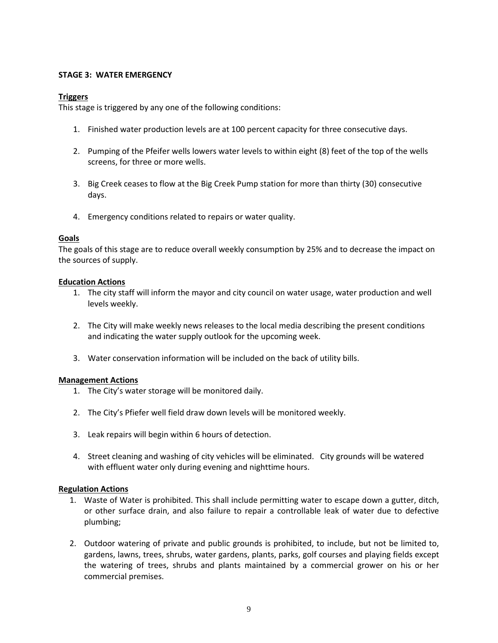#### **STAGE 3: WATER EMERGENCY**

#### **Triggers**

This stage is triggered by any one of the following conditions:

- 1. Finished water production levels are at 100 percent capacity for three consecutive days.
- 2. Pumping of the Pfeifer wells lowers water levels to within eight (8) feet of the top of the wells screens, for three or more wells.
- 3. Big Creek ceases to flow at the Big Creek Pump station for more than thirty (30) consecutive days.
- 4. Emergency conditions related to repairs or water quality.

#### **Goals**

The goals of this stage are to reduce overall weekly consumption by 25% and to decrease the impact on the sources of supply.

#### **Education Actions**

- 1. The city staff will inform the mayor and city council on water usage, water production and well levels weekly.
- 2. The City will make weekly news releases to the local media describing the present conditions and indicating the water supply outlook for the upcoming week.
- 3. Water conservation information will be included on the back of utility bills.

# **Management Actions**

- 1. The City's water storage will be monitored daily.
- 2. The City's Pfiefer well field draw down levels will be monitored weekly.
- 3. Leak repairs will begin within 6 hours of detection.
- 4. Street cleaning and washing of city vehicles will be eliminated. City grounds will be watered with effluent water only during evening and nighttime hours.

#### **Regulation Actions**

- 1. Waste of Water is prohibited. This shall include permitting water to escape down a gutter, ditch, or other surface drain, and also failure to repair a controllable leak of water due to defective plumbing;
- 2. Outdoor watering of private and public grounds is prohibited, to include, but not be limited to, gardens, lawns, trees, shrubs, water gardens, plants, parks, golf courses and playing fields except the watering of trees, shrubs and plants maintained by a commercial grower on his or her commercial premises.